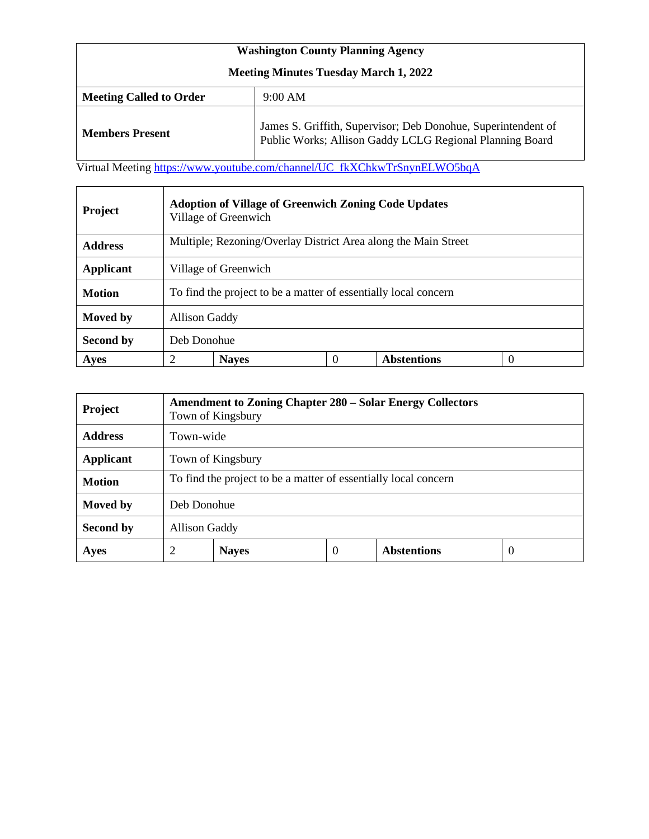| <b>Washington County Planning Agency</b>     |                                                                                                                           |  |  |  |  |
|----------------------------------------------|---------------------------------------------------------------------------------------------------------------------------|--|--|--|--|
| <b>Meeting Minutes Tuesday March 1, 2022</b> |                                                                                                                           |  |  |  |  |
| <b>Meeting Called to Order</b><br>$9:00$ AM  |                                                                                                                           |  |  |  |  |
| <b>Members Present</b>                       | James S. Griffith, Supervisor; Deb Donohue, Superintendent of<br>Public Works; Allison Gaddy LCLG Regional Planning Board |  |  |  |  |

Virtual Meeting [https://www.youtube.com/channel/UC\\_fkXChkwTrSnynELWO5bqA](https://www.youtube.com/channel/UC_fkXChkwTrSnynELWO5bqA)

| <b>Project</b>   | <b>Adoption of Village of Greenwich Zoning Code Updates</b><br>Village of Greenwich |  |  |  |  |  |  |
|------------------|-------------------------------------------------------------------------------------|--|--|--|--|--|--|
| <b>Address</b>   | Multiple; Rezoning/Overlay District Area along the Main Street                      |  |  |  |  |  |  |
| <b>Applicant</b> | Village of Greenwich                                                                |  |  |  |  |  |  |
| <b>Motion</b>    | To find the project to be a matter of essentially local concern                     |  |  |  |  |  |  |
| Moved by         | <b>Allison Gaddy</b>                                                                |  |  |  |  |  |  |
| Second by        | Deb Donohue                                                                         |  |  |  |  |  |  |
| Ayes             | <b>Abstentions</b><br>2<br><b>Nayes</b><br>0                                        |  |  |  |  |  |  |

| <b>Project</b>   | <b>Amendment to Zoning Chapter 280 – Solar Energy Collectors</b><br>Town of Kingsbury |                   |   |                    |          |  |
|------------------|---------------------------------------------------------------------------------------|-------------------|---|--------------------|----------|--|
| <b>Address</b>   | Town-wide                                                                             |                   |   |                    |          |  |
| <b>Applicant</b> |                                                                                       | Town of Kingsbury |   |                    |          |  |
| <b>Motion</b>    | To find the project to be a matter of essentially local concern                       |                   |   |                    |          |  |
| Moved by         | Deb Donohue                                                                           |                   |   |                    |          |  |
| Second by        | <b>Allison Gaddy</b>                                                                  |                   |   |                    |          |  |
| <b>Ayes</b>      | 2                                                                                     | <b>Nayes</b>      | 0 | <b>Abstentions</b> | $\theta$ |  |